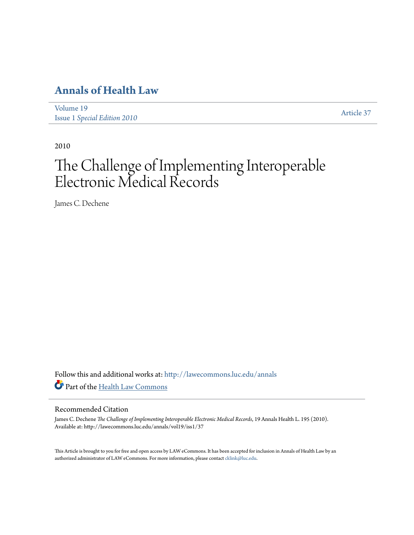## **[Annals of Health Law](http://lawecommons.luc.edu/annals?utm_source=lawecommons.luc.edu%2Fannals%2Fvol19%2Fiss1%2F37&utm_medium=PDF&utm_campaign=PDFCoverPages)**

[Volume 19](http://lawecommons.luc.edu/annals/vol19?utm_source=lawecommons.luc.edu%2Fannals%2Fvol19%2Fiss1%2F37&utm_medium=PDF&utm_campaign=PDFCoverPages) Issue 1 *[Special Edition 2010](http://lawecommons.luc.edu/annals/vol19/iss1?utm_source=lawecommons.luc.edu%2Fannals%2Fvol19%2Fiss1%2F37&utm_medium=PDF&utm_campaign=PDFCoverPages)* [Article 37](http://lawecommons.luc.edu/annals/vol19/iss1/37?utm_source=lawecommons.luc.edu%2Fannals%2Fvol19%2Fiss1%2F37&utm_medium=PDF&utm_campaign=PDFCoverPages)

2010

# The Challenge of Implementing Interoperable Electronic Medical Records

James C. Dechene

Follow this and additional works at: [http://lawecommons.luc.edu/annals](http://lawecommons.luc.edu/annals?utm_source=lawecommons.luc.edu%2Fannals%2Fvol19%2Fiss1%2F37&utm_medium=PDF&utm_campaign=PDFCoverPages) Part of the [Health Law Commons](http://network.bepress.com/hgg/discipline/901?utm_source=lawecommons.luc.edu%2Fannals%2Fvol19%2Fiss1%2F37&utm_medium=PDF&utm_campaign=PDFCoverPages)

#### Recommended Citation

James C. Dechene *The Challenge of Implementing Interoperable Electronic Medical Records*, 19 Annals Health L. 195 (2010). Available at: http://lawecommons.luc.edu/annals/vol19/iss1/37

This Article is brought to you for free and open access by LAW eCommons. It has been accepted for inclusion in Annals of Health Law by an authorized administrator of LAW eCommons. For more information, please contact [cklink@luc.edu](mailto:cklink@luc.edu).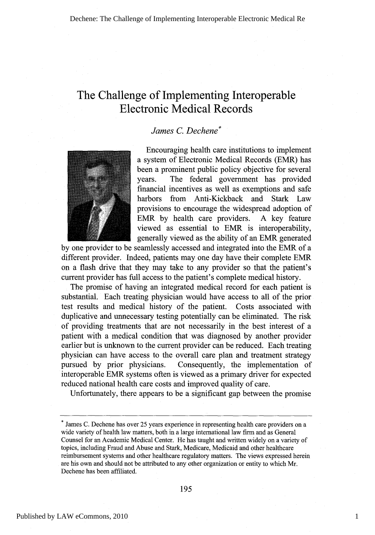### The Challenge of Implementing Interoperable Electronic Medical Records

#### *James C. Dechene\**



Encouraging health care institutions to implement a system of Electronic Medical Records (EMR) has been a prominent public policy objective for several years. The federal government has provided financial incentives as well as exemptions and safe harbors from Anti-Kickback and Stark Law provisions to encourage the widespread adoption of EMR by health care providers. A key feature viewed as essential to EMR is interoperability, generally viewed as the ability of an EMR generated

by one provider to be seamlessly accessed and integrated into the EMR of a different provider. Indeed, patients may one day have their complete EMR on a flash drive that they may take to any provider so that the patient's current provider has full access to the patient's complete medical history.

The promise of having an integrated medical record for each patient is substantial. Each treating physician would have access to all of the prior test results and medical history of the patient. Costs associated with duplicative and unnecessary testing potentially can be eliminated. The risk of providing treatments that are not necessarily in the best interest of a patient with a medical condition that was diagnosed by another provider earlier but is unknown to the current provider can be reduced. Each treating physician can have access to the overall care plan and treatment strategy pursued by prior physicians. Consequently, the implementation of interoperable EMR systems often is viewed as a primary driver for expected reduced national health care costs and improved quality of care.

Unfortunately, there appears to be a significant gap between the promise

James C. Dechene has over 25 years experience in representing health care providers on a wide variety of health law matters, both in a large international law firm and as General Counsel for an Academic Medical Center. He has taught and written widely on a variety of topics, including Fraud and Abuse and Stark, Medicare, Medicaid and other healthcare reimbursement systems and other healthcare regulatory matters. The views expressed herein are his own and should not be attributed to any other organization or entity to which Mr. Dechene has been affiliated.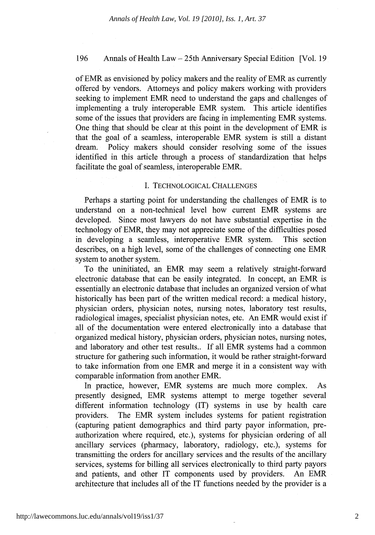#### 196 Annals of Health Law **-** 25th Anniversary Special Edition [Vol. 19

of EMR as envisioned by policy makers and the reality of EMR as currently offered by vendors. Attorneys and policy makers working with providers seeking to implement EMR need to understand the gaps and challenges of implementing a truly interoperable EMR system. This article identifies some of the issues that providers are facing in implementing EMR systems. One thing that should be clear at this point in the development of EMR is that the goal of a seamless, interoperable EMR system is still a distant dream. Policy makers should consider resolving some of the issues identified in this article through a process of standardization that helps facilitate the goal of seamless, interoperable EMR.

#### I. TECHNOLOGICAL CHALLENGES

Perhaps a starting point for understanding the challenges of EMR is to understand on a non-technical level how current EMR systems are developed. Since most lawyers do not have substantial expertise in the technology of EMR, they may not appreciate some of the difficulties posed in developing a seamless, interoperative EMR system. This section describes, on a high level, some of the challenges of connecting one EMR system to another system.

To the uninitiated, an EMR may seem a relatively straight-forward electronic database that can be easily integrated. In concept, an EMR is essentially an electronic database that includes an organized version of what historically has been part of the written medical record: a medical history, physician orders, physician notes, nursing notes, laboratory test results, radiological images, specialist physician notes, etc. An EMR would exist if all of the documentation were entered electronically into a database that organized medical history, physician orders, physician notes, nursing notes, and laboratory and other test results.. If all EMR systems had a common structure for gathering such information, it would be rather straight-forward to take information from one EMR and merge it in a consistent way with comparable information from another EMR.

In practice, however, EMR systems are much more complex. As presently designed, EMR systems attempt to merge together several different information technology (IT) systems in use by health care providers. The EMR system includes systems for patient registration (capturing patient demographics and third party payor information, preauthorization where required, etc.), systems for physician ordering of all ancillary services (pharmacy, laboratory, radiology, etc.), systems for transmitting the orders for ancillary services and the results of the ancillary services, systems for billing all services electronically to third party payors and patients, and other IT components used by providers. An EMR architecture that includes all of the IT functions needed by the provider is a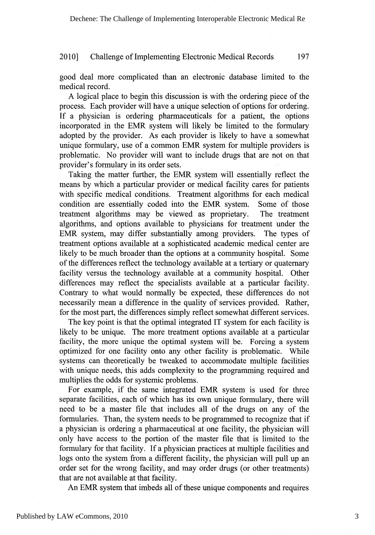good deal more complicated than an electronic database limited to the medical record.

A logical place to begin this discussion is with the ordering piece of the process. Each provider will have a unique selection of options for ordering. If a physician is ordering pharmaceuticals for a patient, the options incorporated in the EMR system will likely be limited to the formulary adopted by the provider. As each provider is likely to have a somewhat unique formulary, use of a common EMR system for multiple providers is problematic. No provider will want to include drugs that are not on that provider's formulary in its order sets.

Taking the matter further, the EMR system will essentially reflect the means by which a particular provider or medical facility cares for patients with specific medical conditions. Treatment algorithms for each medical condition are essentially coded into the EMR system. Some of those treatment algorithms may be viewed as proprietary. The treatment algorithms, and options available to physicians for treatment under the EMR system, may differ substantially among providers. The types of treatment options available at a sophisticated academic medical center are likely to be much broader than the options at a community hospital. Some of the differences reflect the technology available at a tertiary or quaternary facility versus the technology available at a community hospital. Other differences may reflect the specialists available at a particular facility. Contrary to what would normally be expected, these differences do not necessarily mean a difference in the quality of services provided. Rather, for the most part, the differences simply reflect somewhat different services.

The key point is that the optimal integrated IT system for each facility is likely to be unique. The more treatment options available at a particular facility, the more unique the optimal system will be. Forcing a system optimized for one facility onto any other facility is problematic. While systems can theoretically be tweaked to accommodate multiple facilities with unique needs, this adds complexity to the programming required and multiplies the odds for systemic problems.

For example, if the same integrated EMR system is used for three separate facilities, each of which has its own unique formulary, there will need to be a master file that includes all of the drugs on any of the formularies. Than, the system needs to be programmed to recognize that if a physician is ordering a pharmaceutical at one facility, the physician will only have access to the portion of the master file that is limited to the formulary for that facility. If a physician practices at multiple facilities and logs onto the system from a different facility, the physician will pull up an order set for the wrong facility, and may order drugs (or other treatments) that are not available at that facility.

An EMR system that imbeds all of these unique components and requires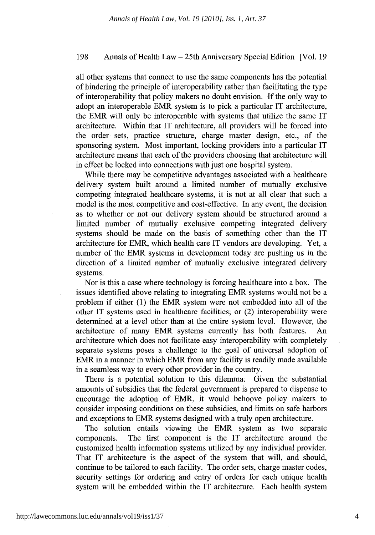#### 198 Annals of Health Law - 25th Anniversary Special Edition [Vol. 19

all other systems that connect to use the same components has the potential of hindering the principle of interoperability rather than facilitating the type of interoperability that policy makers no doubt envision. If the only way to adopt an interoperable EMR system is to pick a particular IT architecture, the EMR will only be interoperable with systems that utilize the same IT architecture. Within that IT architecture, all providers will be forced into the order sets, practice structure, charge master design, etc., of the sponsoring system. Most important, locking providers into a particular IT architecture means that each of the providers choosing that architecture will in effect be locked into connections with just one hospital system.

While there may be competitive advantages associated with a healthcare delivery system built around a limited number of mutually exclusive competing integrated healthcare systems, it is not at all clear that such a model is the most competitive and cost-effective. In any event, the decision as to whether or not our delivery system should be structured around a limited number of mutually exclusive competing integrated delivery systems should be made on the basis of something other than the IT architecture for EMR, which health care IT vendors are developing. Yet, a number of the EMR systems in development today are pushing us in the direction of a limited number of mutually exclusive integrated delivery systems.

Nor is this a case where technology is forcing healthcare into a box. The issues identified above relating to integrating EMR systems would not be a problem if either (1) the EMR system were not embedded into all of the other IT systems used in healthcare facilities; or (2) interoperability were determined at a level other than at the entire system level. However, the architecture of many EMR systems currently has both features. An architecture which does not facilitate easy interoperability with completely separate systems poses a challenge to the goal of universal adoption of EMR in a manner in which EMR from any facility is readily made available in a seamless way to every other provider in the country.

There is a potential solution to this dilemma. Given the substantial amounts of subsidies that the federal government is prepared to dispense to encourage the adoption of EMR, it would behoove policy makers to consider imposing conditions on these subsidies, and limits on safe harbors and exceptions to EMR systems designed with a truly open architecture.

The solution entails viewing the EMR system as two separate components. The first component is the IT architecture around the customized health information systems utilized by any individual provider. That IT architecture is the aspect of the system that will, and should, continue to be tailored to each facility. The order sets, charge master codes, security settings for ordering and entry of orders for each unique health system will be embedded within the IT architecture. Each health system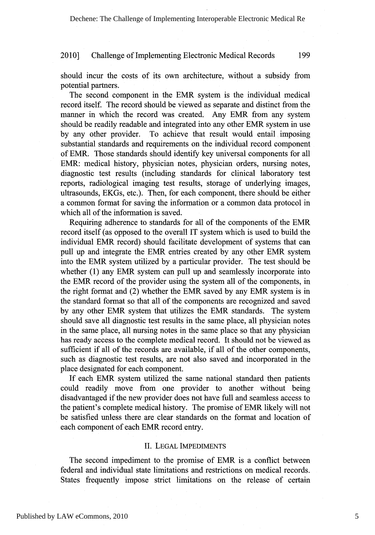should incur the costs of its own architecture, without a subsidy from potential partners.

The second component in the EMR system is the individual medical record itself. The record should be viewed as separate and distinct from the manner in which the record was created. Any EMR from any system should be readily readable and integrated into any other EMR system in use by any other provider. To achieve that result would entail imposing substantial standards and requirements on the individual record component of EMR. Those standards should identify key universal components for all EMR: medical history, physician notes, physician orders, nursing notes, diagnostic test results (including standards for clinical laboratory test reports, radiological imaging test results, storage of underlying images, ultrasounds, EKGs, etc.). Then, for each component, there should be either a common format for saving the information or a common data protocol in which all of the information is saved.

Requiring adherence to standards for all of the components of the EMR record itself (as opposed to the overall IT system which is used to build the individual EMR record) should facilitate development of systems that can pull up and integrate the EMR entries created by any other EMR system into the EMR system utilized by a particular provider. The test should be whether (1) any EMR system can pull up and seamlessly incorporate into the EMR record of the provider using the system all of the components, in the right format and (2) whether the EMR saved by any EMR system is in the standard format so that all of the components are recognized and saved by any other EMR system that utilizes the EMR standards. The system should save all diagnostic test results in the same place, all physician notes in the same place, all nursing notes in the same place so that any physician has ready access to the complete medical record. It should not be viewed as sufficient if all of the records are available, if all of the other components, such as diagnostic test results, are not also saved and incorporated in the place designated for each component.

If each EMR system utilized the same national standard then patients could readily move from one provider to another without being disadvantaged if the new provider does not have full and seamless access to the patient's complete medical history. The promise of EMR likely will not be satisfied unless there are clear standards on the format and location of each component of each EMR record entry.

#### II. LEGAL IMPEDIMENTS

The second impediment to the promise of EMR is a conflict between federal and individual state limitations and restrictions on medical records. States frequently impose strict limitations on the release of certain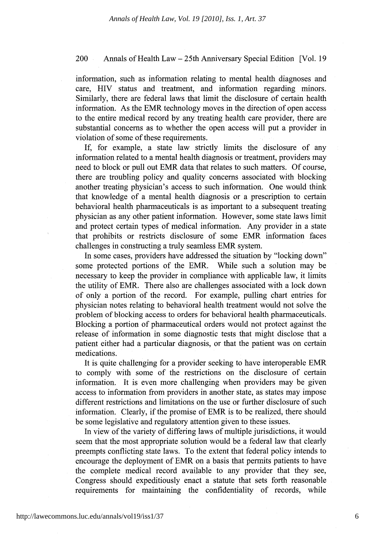#### 200 Annals of Health Law – 25th Anniversary Special Edition [Vol. 19]

information, such as information relating to mental health diagnoses and care, HIV status and treatment, and information regarding minors. Similarly, there are federal laws that limit the disclosure of certain health information. As the EMR technology moves in the direction of open access to the entire medical record by any treating health care provider, there are substantial concerns as to whether the open access will put a provider in violation of some of these requirements.

If, for example, a state law strictly limits the disclosure of any information related to a mental health diagnosis or treatment, providers may need to block or pull out EMR data that relates to such matters. Of course, there are troubling policy and quality concerns associated with blocking another treating physician's access to such information. One would think that knowledge of a mental health diagnosis or a prescription to certain behavioral health pharmaceuticals is as important to a subsequent treating physician as any other patient information. However, some state laws limit and protect certain types of medical information. Any provider in a state that prohibits or restricts disclosure of some EMR information faces challenges in constructing a truly seamless EMR system.

In some cases, providers have addressed the situation by "locking down" some protected portions of the EMR. While such a solution may be necessary to keep the provider in compliance with applicable law, it limits the utility of EMR. There also are challenges associated with a lock down of only a portion of the record. For example, pulling chart entries for physician notes relating to behavioral health treatment would not solve the problem of blocking access to orders for behavioral health pharmaceuticals. Blocking a portion of pharmaceutical orders would not protect against the release of information in some diagnostic tests that might disclose that a patient either had a particular diagnosis, or that the patient was on certain medications.

It is quite challenging for a provider seeking to have interoperable EMR to comply with some of the restrictions on the disclosure of certain information. It is even more challenging when providers may be given access to information from providers in another state, as states may impose different restrictions and limitations on the use or further disclosure of such information. Clearly, if the promise of EMR is to be realized, there should be some legislative and regulatory attention given to these issues.

In view of the variety of differing laws of multiple jurisdictions, it would seem that the most appropriate solution would be a federal law that clearly preempts conflicting state laws. To the extent that federal policy intends to encourage the deployment of EMR on a basis that permits patients to have the complete medical record available to any provider that they see, Congress should expeditiously enact a statute that sets forth reasonable requirements for maintaining the confidentiality of records, while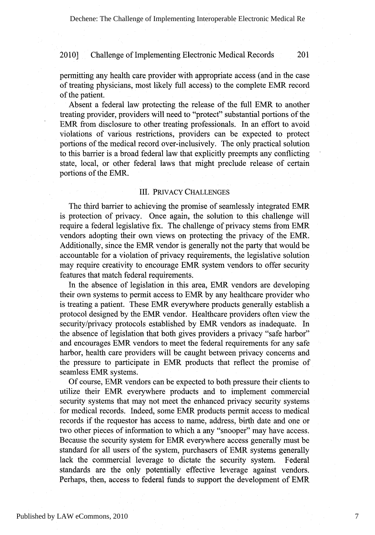permitting any health care provider with appropriate access (and in the case of treating physicians, most likely full access) to the complete EMR record of the patient.

Absent a federal law protecting the release of the full EMR to another treating provider, providers will need to "protect" substantial portions of the EMR from disclosure to other treating professionals. In an effort to avoid violations of various restrictions, providers can be expected to protect portions of the medical record over-inclusively. The only practical solution to this barrier is a broad federal law that explicitly preempts any conflicting state, local, or other federal laws that might preclude release of certain portions of the EMR.

#### III. PRIVACY CHALLENGES

The third barrier to achieving the promise of seamlessly integrated EMR is protection of privacy. Once again, the solution to this challenge will require a federal legislative fix. The challenge of privacy stems from EMR vendors adopting their own views on protecting the privacy of the EMR. Additionally, since the EMR vendor is generally not the party that would be accountable for a violation of privacy requirements, the legislative solution may require creativity to encourage EMR system vendors to offer security features that match federal requirements.

In the absence of legislation in this area, EMR vendors are developing their own systems to permit access to EMR by any healthcare provider who is treating a patient. These EMR everywhere products generally establish a protocol designed by the EMR vendor. Healthcare providers often view the security/privacy protocols established by EMR vendors as inadequate. In the absence of legislation that both gives providers a privacy "safe harbor" and encourages EMR vendors to meet the federal requirements for any safe harbor, health care providers will be caught between privacy concerns and the pressure to participate in EMR products that reflect the promise of seamless EMR systems.

Of course, EMR vendors can be expected to both pressure their clients to utilize their EMR everywhere products and to implement commercial security systems that may not meet the enhanced privacy security systems for medical records. Indeed, some EMR products permit access to medical records if the requestor has access to name, address, birth date and one or two other pieces of information to which a any "snooper" may have access. Because the security system for EMR everywhere access generally must be standard for all users of the system, purchasers of EMR systems generally lack the commercial leverage to dictate the security system. Federal standards are the only potentially effective leverage against vendors. Perhaps, then, access to federal funds to support the development of EMR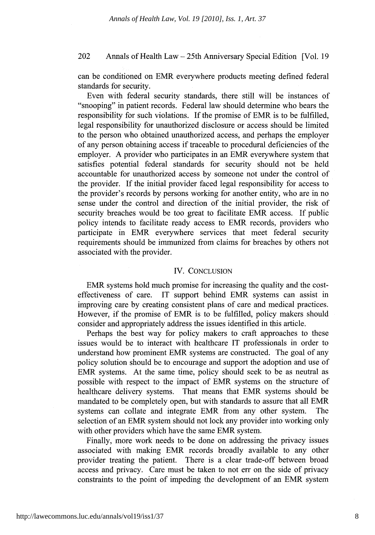#### 202 Annals of Health Law - 25th Anniversary Special Edition [Vol. 19

can be conditioned on EMR everywhere products meeting defined federal standards for security.

Even with federal security standards, there still will be instances of "snooping" in patient records. Federal law should determine who bears the responsibility for such violations. If the promise of EMR is to be fulfilled, legal responsibility for unauthorized disclosure or access should be limited to the person who obtained unauthorized access, and perhaps the employer of any person obtaining access if traceable to procedural deficiencies of the employer. A provider who participates in an EMR everywhere system that satisfies potential federal standards for security should not be held accountable for unauthorized access by someone not under the control of the provider. If the initial provider faced legal responsibility for access to the provider's records by persons working for another entity, who are in no sense under the control and direction of the initial provider, the risk of security breaches would be too great to facilitate EMR access. If public policy intends to facilitate ready access to EMR records, providers who participate in EMR everywhere services that meet federal security requirements should be immunized from claims for breaches by others not associated with the provider.

#### IV. CONCLUSION

EMR systems hold much promise for increasing the quality and the costeffectiveness of care. IT support behind EMR systems can assist in improving care by creating consistent plans of care and medical practices. However, if the promise of EMR is to be fulfilled, policy makers should consider and appropriately address the issues identified in this article.

Perhaps the best way for policy makers to craft approaches to these issues would be to interact with healthcare IT professionals in order to understand how prominent EMR systems are constructed. The goal of any policy solution should be to encourage and support the adoption and use of EMR systems. At the same time, policy should seek to be as neutral as possible with respect to the impact of EMR systems on the structure of healthcare delivery systems. That means that EMR systems should be mandated to be completely open, but with standards to assure that all EMR systems can collate and integrate EMR from any other system. The selection of an EMR system should not lock any provider into working only with other providers which have the same EMR system.

Finally, more work needs to be done on addressing the privacy issues associated with making EMR records broadly available to any other provider treating the patient. There is a clear trade-off between broad access and privacy. Care must be taken to not err on the side of privacy constraints to the point of impeding the development of an EMR system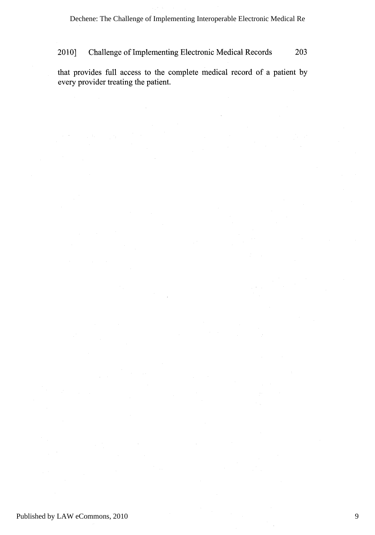that provides full access to the complete medical record of a patient by every provider treating the patient.